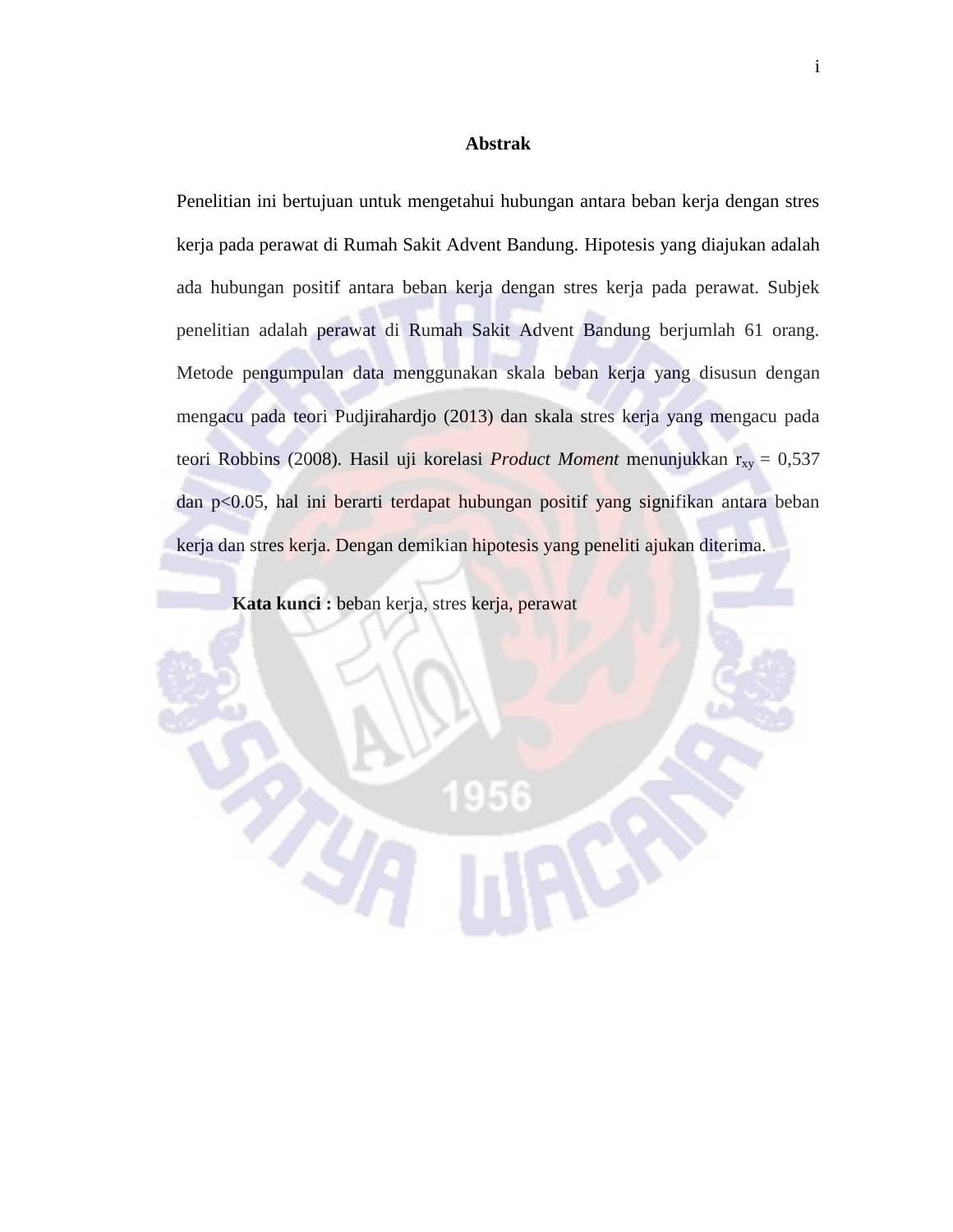## **Abstrak**

Penelitian ini bertujuan untuk mengetahui hubungan antara beban kerja dengan stres kerja pada perawat di Rumah Sakit Advent Bandung. Hipotesis yang diajukan adalah ada hubungan positif antara beban kerja dengan stres kerja pada perawat. Subjek penelitian adalah perawat di Rumah Sakit Advent Bandung berjumlah 61 orang. Metode pengumpulan data menggunakan skala beban kerja yang disusun dengan mengacu pada teori Pudjirahardjo (2013) dan skala stres kerja yang mengacu pada teori Robbins (2008). Hasil uji korelasi *Product Moment* menunjukkan r<sub>xy</sub> = 0,537 dan p<0.05, hal ini berarti terdapat hubungan positif yang signifikan antara beban kerja dan stres kerja. Dengan demikian hipotesis yang peneliti ajukan diterima.

**Kata kunci :** beban kerja, stres kerja, perawat